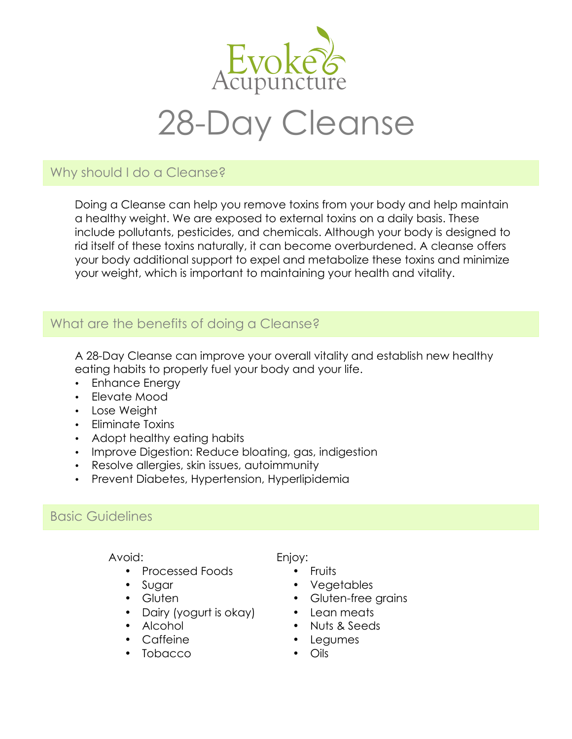

## Why should I do a Cleanse?

Doing a Cleanse can help you remove toxins from your body and help maintain a healthy weight. We are exposed to external toxins on a daily basis. These include pollutants, pesticides, and chemicals. Although your body is designed to rid itself of these toxins naturally, it can become overburdened. A cleanse offers your body additional support to expel and metabolize these toxins and minimize your weight, which is important to maintaining your health and vitality.

# What are the benefits of doing a Cleanse?

A 28-Day Cleanse can improve your overall vitality and establish new healthy eating habits to properly fuel your body and your life.

- Enhance Energy
- Elevate Mood
- Lose Weight
- Eliminate Toxins
- Adopt healthy eating habits
- Improve Digestion: Reduce bloating, gas, indigestion
- Resolve allergies, skin issues, autoimmunity
- Prevent Diabetes, Hypertension, Hyperlipidemia

## Basic Guidelines

#### Avoid:

- Processed Foods
- Sugar
- Gluten
- Dairy (yogurt is okay)
- Alcohol
- Caffeine
- Tobacco

#### Enjoy:

- Fruits
- Vegetables
- Gluten-free grains
- Lean meats
- Nuts & Seeds
- Legumes
- Oils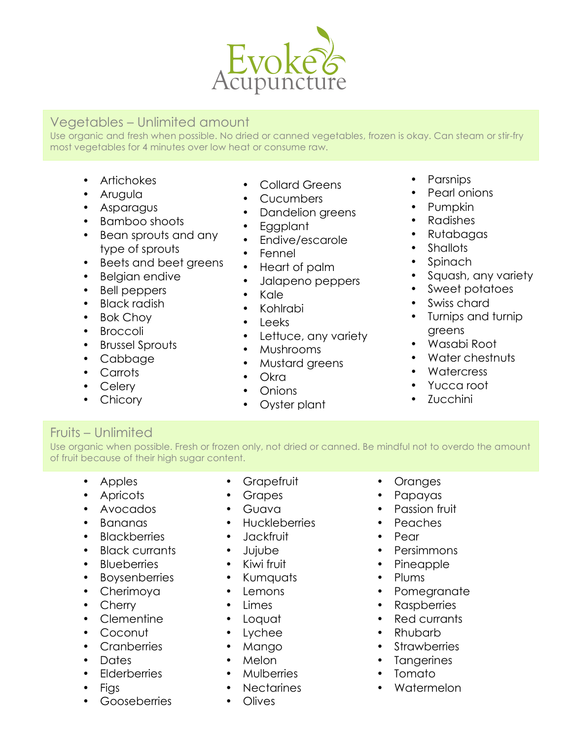

### Vegetables – Unlimited amount

Use organic and fresh when possible. No dried or canned vegetables, frozen is okay. Can steam or stir-fry most vegetables for 4 minutes over low heat or consume raw.

- Artichokes
- Arugula
- Asparagus
- Bamboo shoots
- Bean sprouts and any type of sprouts
- Beets and beet greens
- Belgian endive
- Bell peppers
- Black radish
- Bok Choy
- Broccoli
- Brussel Sprouts
- Cabbage
- Carrots
- Celery
- Chicory
- Collard Greens
- Cucumbers
	- Dandelion greens
- Eggplant
- Endive/escarole
- Fennel
- Heart of palm
- Jalapeno peppers
- Kale
- Kohlrabi
- Leeks
- Lettuce, any variety
- Mushrooms
- Mustard greens
- Okra
- Onions
- Oyster plant
- Parsnips
- Pearl onions
- Pumpkin
- Radishes
- Rutabagas
- Shallots
- Spinach
- Squash, any variety
- Sweet potatoes
- Swiss chard
- Turnips and turnip greens
- Wasabi Root
- Water chestnuts
- Watercress
- Yucca root
- Zucchini

### Fruits – Unlimited

Use organic when possible. Fresh or frozen only, not dried or canned. Be mindful not to overdo the amount of fruit because of their high sugar content.

- Apples
- Apricots
- Avocados
- Bananas
- Blackberries
- Black currants
- Blueberries
- Boysenberries
- Cherimoya
- Cherry
- Clementine
- Coconut
- Cranberries
- Dates
- Elderberries
- Figs
- Gooseberries
- **Grapefruit**
- Grapes
- Guava
- Huckleberries
- Jackfruit
- Jujube
- Kiwi fruit
- Kumquats
- Lemons
- Limes
- Loquat
- Lychee
- Mango
- Melon
- Mulberries
- **Nectarines**
- Olives
- Oranges
- Papayas
- Passion fruit
- Peaches
- Pear
- Persimmons
- Pineapple
- Plums
- Pomegranate
- Raspberries
- Red currants

**Strawberries Tangerines** 

• Watermelon

• Rhubarb

• Tomato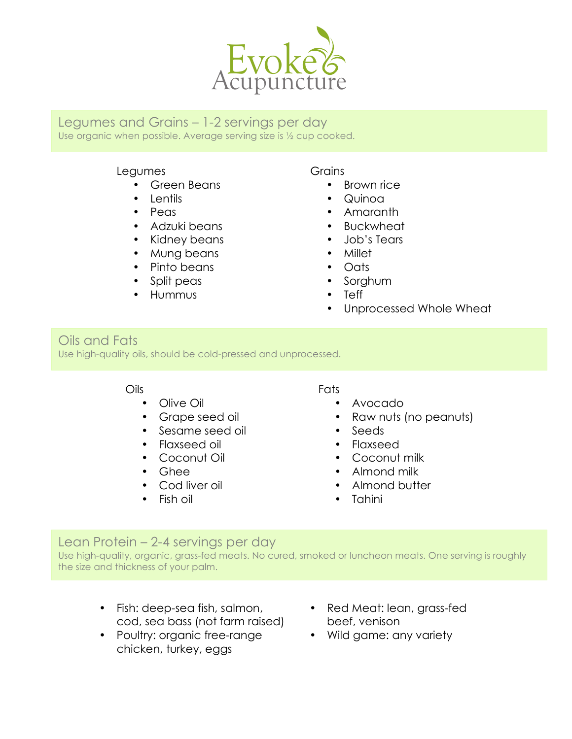

Legumes and Grains – 1-2 servings per day Use organic when possible. Average serving size is ½ cup cooked.

### Legumes

- Green Beans
- Lentils
- Peas
- Adzuki beans
- Kidney beans
- Mung beans
- Pinto beans
- Split peas
- Hummus

#### **Grains**

- Brown rice
- Quinoa
- Amaranth
- Buckwheat
- Job's Tears
- Millet
- Oats
- Sorghum
- Teff
- Unprocessed Whole Wheat

### Oils and Fats

Use high-quality oils, should be cold-pressed and unprocessed.

#### Oils

- Olive Oil
- Grape seed oil
- Sesame seed oil
- Flaxseed oil
- Coconut Oil
- Ghee
- Cod liver oil
- Fish oil

#### Fats

- Avocado
- Raw nuts (no peanuts)
- Seeds
- Flaxseed
- Coconut milk
- Almond milk
- Almond butter
- Tahini

## Lean Protein – 2-4 servings per day

Use high-quality, organic, grass-fed meats. No cured, smoked or luncheon meats. One serving is roughly the size and thickness of your palm.

- Fish: deep-sea fish, salmon, cod, sea bass (not farm raised)
- Poultry: organic free-range chicken, turkey, eggs
- Red Meat: lean, grass-fed beef, venison
- Wild game: any variety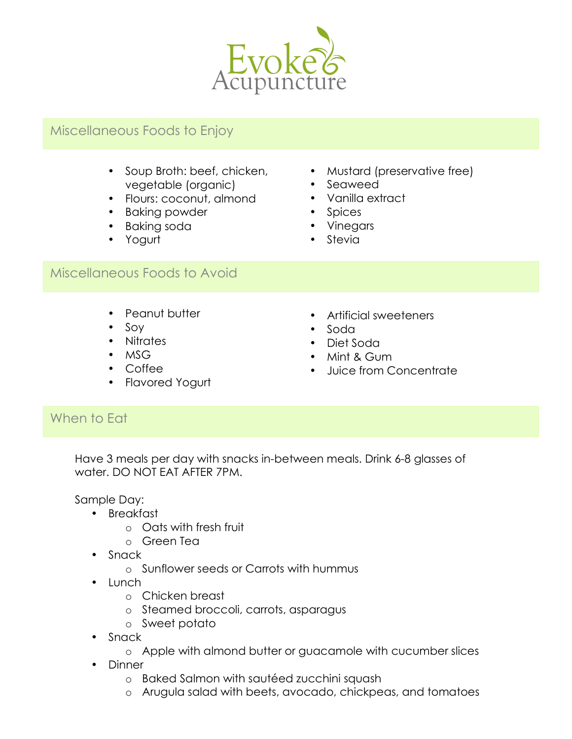

# Miscellaneous Foods to Enjoy

- Soup Broth: beef, chicken, vegetable (organic)
- Flours: coconut, almond
- Baking powder
- Baking soda
- Yogurt
- Mustard (preservative free)
- Seaweed
- Vanilla extract
- Spices
- Vinegars
- Stevia

### Miscellaneous Foods to Avoid

- Peanut butter
- Soy
- Nitrates
- MSG
- Coffee
- Flavored Yogurt
- Artificial sweeteners
- Soda
- Diet Soda
- Mint & Gum
- Juice from Concentrate

## When to Eat

Have 3 meals per day with snacks in-between meals. Drink 6-8 glasses of water. DO NOT EAT AFTER 7PM.

Sample Day:

- Breakfast
	- o Oats with fresh fruit
	- o Green Tea
- Snack
	- o Sunflower seeds or Carrots with hummus
- Lunch
	- o Chicken breast
	- o Steamed broccoli, carrots, asparagus
	- o Sweet potato
- Snack
	- o Apple with almond butter or guacamole with cucumber slices
- Dinner
	- o Baked Salmon with sautéed zucchini squash
	- o Arugula salad with beets, avocado, chickpeas, and tomatoes